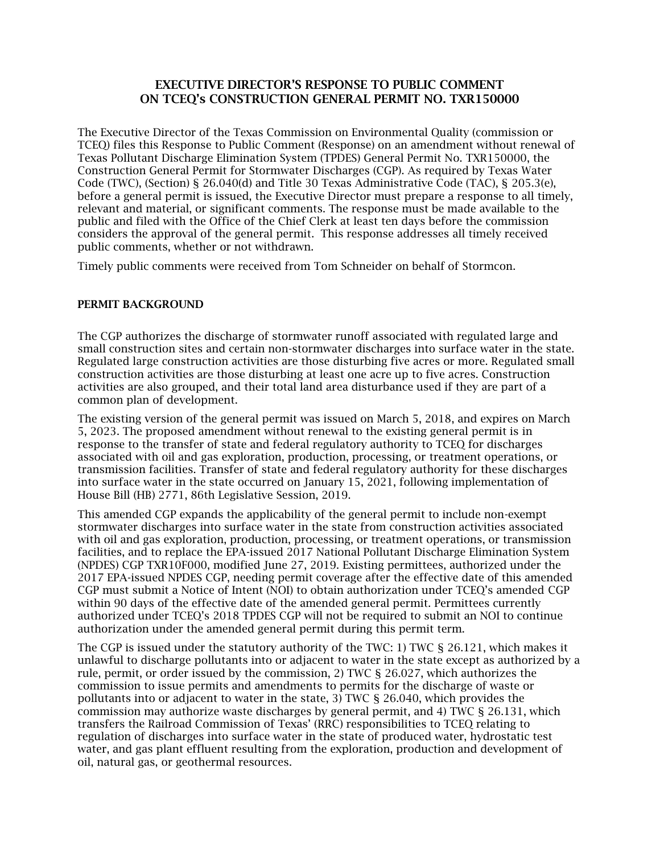# EXECUTIVE DIRECTOR'S RESPONSE TO PUBLIC COMMENT ON TCEQ's CONSTRUCTION GENERAL PERMIT NO. TXR150000

The Executive Director of the Texas Commission on Environmental Quality (commission or TCEQ) files this Response to Public Comment (Response) on an amendment without renewal of Texas Pollutant Discharge Elimination System (TPDES) General Permit No. TXR150000, the Construction General Permit for Stormwater Discharges (CGP). As required by Texas Water Code (TWC), (Section) § 26.040(d) and Title 30 Texas Administrative Code (TAC), § 205.3(e), before a general permit is issued, the Executive Director must prepare a response to all timely, relevant and material, or significant comments. The response must be made available to the public and filed with the Office of the Chief Clerk at least ten days before the commission considers the approval of the general permit. This response addresses all timely received public comments, whether or not withdrawn.

Timely public comments were received from Tom Schneider on behalf of Stormcon.

#### PERMIT BACKGROUND

The CGP authorizes the discharge of stormwater runoff associated with regulated large and small construction sites and certain non-stormwater discharges into surface water in the state. Regulated large construction activities are those disturbing five acres or more. Regulated small construction activities are those disturbing at least one acre up to five acres. Construction activities are also grouped, and their total land area disturbance used if they are part of a common plan of development.

The existing version of the general permit was issued on March 5, 2018, and expires on March 5, 2023. The proposed amendment without renewal to the existing general permit is in response to the transfer of state and federal regulatory authority to TCEQ for discharges associated with oil and gas exploration, production, processing, or treatment operations, or transmission facilities. Transfer of state and federal regulatory authority for these discharges into surface water in the state occurred on January 15, 2021, following implementation of House Bill (HB) 2771, 86th Legislative Session, 2019.

This amended CGP expands the applicability of the general permit to include non-exempt stormwater discharges into surface water in the state from construction activities associated with oil and gas exploration, production, processing, or treatment operations, or transmission facilities, and to replace the EPA-issued 2017 National Pollutant Discharge Elimination System (NPDES) CGP TXR10F000, modified June 27, 2019. Existing permittees, authorized under the 2017 EPA-issued NPDES CGP, needing permit coverage after the effective date of this amended CGP must submit a Notice of Intent (NOI) to obtain authorization under TCEQ's amended CGP within 90 days of the effective date of the amended general permit. Permittees currently authorized under TCEQ's 2018 TPDES CGP will not be required to submit an NOI to continue authorization under the amended general permit during this permit term.

The CGP is issued under the statutory authority of the TWC: 1) TWC § 26.121, which makes it unlawful to discharge pollutants into or adjacent to water in the state except as authorized by a rule, permit, or order issued by the commission, 2) TWC § 26.027, which authorizes the commission to issue permits and amendments to permits for the discharge of waste or pollutants into or adjacent to water in the state, 3) TWC § 26.040, which provides the commission may authorize waste discharges by general permit, and 4) TWC § 26.131, which transfers the Railroad Commission of Texas' (RRC) responsibilities to TCEQ relating to regulation of discharges into surface water in the state of produced water, hydrostatic test water, and gas plant effluent resulting from the exploration, production and development of oil, natural gas, or geothermal resources.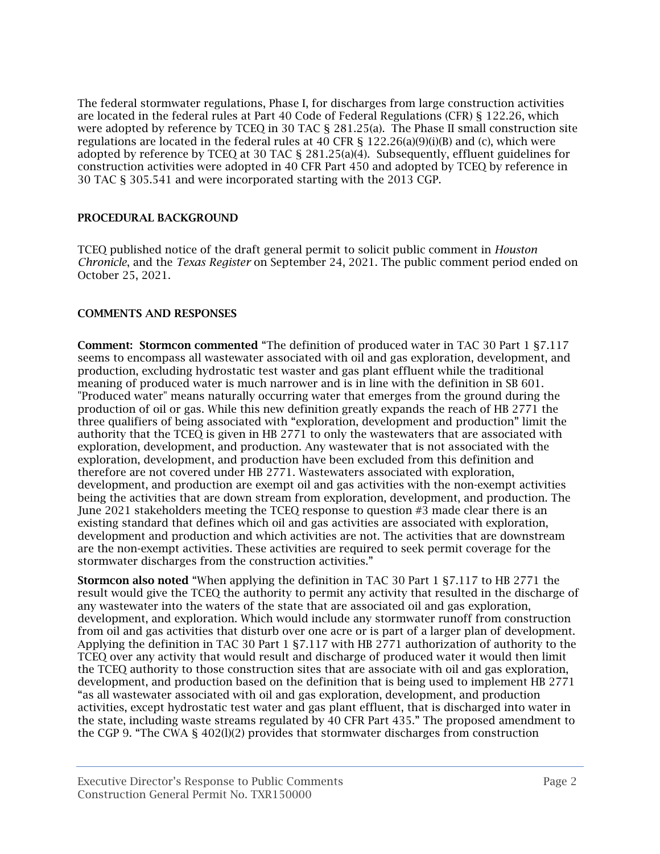The federal stormwater regulations, Phase I, for discharges from large construction activities are located in the federal rules at Part 40 Code of Federal Regulations (CFR) § 122.26, which were adopted by reference by TCEQ in 30 TAC § 281.25(a). The Phase II small construction site regulations are located in the federal rules at 40 CFR §  $122.26(a)(9)(i)(B)$  and (c), which were adopted by reference by TCEQ at 30 TAC § 281.25(a)(4). Subsequently, effluent guidelines for construction activities were adopted in 40 CFR Part 450 and adopted by TCEQ by reference in 30 TAC § 305.541 and were incorporated starting with the 2013 CGP.

### PROCEDURAL BACKGROUND

TCEQ published notice of the draft general permit to solicit public comment in *Houston Chronicle*, and the *Texas Register* on September 24, 2021. The public comment period ended on October 25, 2021.

## COMMENTS AND RESPONSES

Comment: Stormcon commented "The definition of produced water in TAC 30 Part 1 §7.117 seems to encompass all wastewater associated with oil and gas exploration, development, and production, excluding hydrostatic test waster and gas plant effluent while the traditional meaning of produced water is much narrower and is in line with the definition in SB 601. "Produced water" means naturally occurring water that emerges from the ground during the production of oil or gas. While this new definition greatly expands the reach of HB 2771 the three qualifiers of being associated with "exploration, development and production" limit the authority that the TCEQ is given in HB 2771 to only the wastewaters that are associated with exploration, development, and production. Any wastewater that is not associated with the exploration, development, and production have been excluded from this definition and therefore are not covered under HB 2771. Wastewaters associated with exploration, development, and production are exempt oil and gas activities with the non-exempt activities being the activities that are down stream from exploration, development, and production. The June 2021 stakeholders meeting the TCEQ response to question #3 made clear there is an existing standard that defines which oil and gas activities are associated with exploration, development and production and which activities are not. The activities that are downstream are the non-exempt activities. These activities are required to seek permit coverage for the stormwater discharges from the construction activities."

Stormcon also noted "When applying the definition in TAC 30 Part 1 §7.117 to HB 2771 the result would give the TCEQ the authority to permit any activity that resulted in the discharge of any wastewater into the waters of the state that are associated oil and gas exploration, development, and exploration. Which would include any stormwater runoff from construction from oil and gas activities that disturb over one acre or is part of a larger plan of development. Applying the definition in TAC 30 Part 1 §7.117 with HB 2771 authorization of authority to the TCEQ over any activity that would result and discharge of produced water it would then limit the TCEQ authority to those construction sites that are associate with oil and gas exploration, development, and production based on the definition that is being used to implement HB 2771 "as all wastewater associated with oil and gas exploration, development, and production activities, except hydrostatic test water and gas plant effluent, that is discharged into water in the state, including waste streams regulated by 40 CFR Part 435." The proposed amendment to the CGP 9. "The CWA § 402(l)(2) provides that stormwater discharges from construction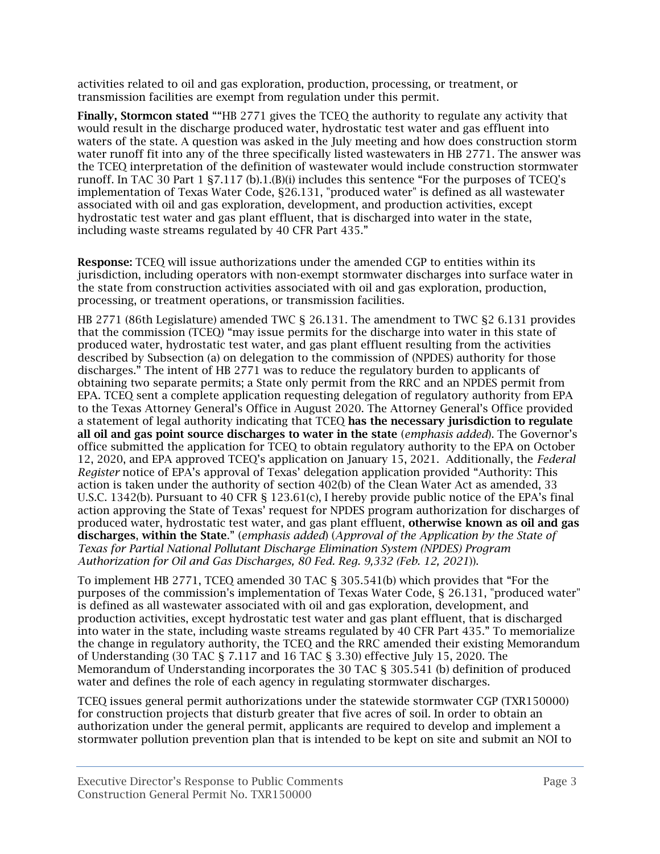activities related to oil and gas exploration, production, processing, or treatment, or transmission facilities are exempt from regulation under this permit.

Finally, Stormcon stated ""HB 2771 gives the TCEQ the authority to regulate any activity that would result in the discharge produced water, hydrostatic test water and gas effluent into waters of the state. A question was asked in the July meeting and how does construction storm water runoff fit into any of the three specifically listed wastewaters in HB 2771. The answer was the TCEQ interpretation of the definition of wastewater would include construction stormwater runoff. In TAC 30 Part 1 §7.117 (b).1.(B)(i) includes this sentence "For the purposes of TCEQ's implementation of Texas Water Code, §26.131, "produced water" is defined as all wastewater associated with oil and gas exploration, development, and production activities, except hydrostatic test water and gas plant effluent, that is discharged into water in the state, including waste streams regulated by 40 CFR Part 435."

Response: TCEQ will issue authorizations under the amended CGP to entities within its jurisdiction, including operators with non-exempt stormwater discharges into surface water in the state from construction activities associated with oil and gas exploration, production, processing, or treatment operations, or transmission facilities.

HB 2771 (86th Legislature) amended TWC § 26.131. The amendment to TWC §2 6.131 provides that the commission (TCEQ) "may issue permits for the discharge into water in this state of produced water, hydrostatic test water, and gas plant effluent resulting from the activities described by Subsection (a) on delegation to the commission of (NPDES) authority for those discharges." The intent of HB 2771 was to reduce the regulatory burden to applicants of obtaining two separate permits; a State only permit from the RRC and an NPDES permit from EPA. TCEQ sent a complete application requesting delegation of regulatory authority from EPA to the Texas Attorney General's Office in August 2020. The Attorney General's Office provided a statement of legal authority indicating that TCEQ has the necessary jurisdiction to regulate all oil and gas point source discharges to water in the state (*emphasis added*). The Governor's office submitted the application for TCEQ to obtain regulatory authority to the EPA on October 12, 2020, and EPA approved TCEQ's application on January 15, 2021. Additionally, the *Federal Register* notice of EPA's approval of Texas' delegation application provided "Authority: This action is taken under the authority of section 402(b) of the Clean Water Act as amended, 33 U.S.C. 1342(b). Pursuant to 40 CFR § 123.61(c), I hereby provide public notice of the EPA's final action approving the State of Texas' request for NPDES program authorization for discharges of produced water, hydrostatic test water, and gas plant effluent, otherwise known as oil and gas discharges, within the State." (*emphasis added*) (*Approval of the Application by the State of Texas for Partial National Pollutant Discharge Elimination System (NPDES) Program Authorization for Oil and Gas Discharges, 80 Fed. Reg. 9,332 (Feb. 12, 2021*)).

To implement HB 2771, TCEQ amended 30 TAC § 305.541(b) which provides that "For the purposes of the commission's implementation of Texas Water Code, § 26.131, "produced water" is defined as all wastewater associated with oil and gas exploration, development, and production activities, except hydrostatic test water and gas plant effluent, that is discharged into water in the state, including waste streams regulated by 40 CFR Part 435." To memorialize the change in regulatory authority, the TCEQ and the RRC amended their existing Memorandum of Understanding (30 TAC § 7.117 and 16 TAC § 3.30) effective July 15, 2020. The Memorandum of Understanding incorporates the 30 TAC § 305.541 (b) definition of produced water and defines the role of each agency in regulating stormwater discharges.

TCEQ issues general permit authorizations under the statewide stormwater CGP (TXR150000) for construction projects that disturb greater that five acres of soil. In order to obtain an authorization under the general permit, applicants are required to develop and implement a stormwater pollution prevention plan that is intended to be kept on site and submit an NOI to